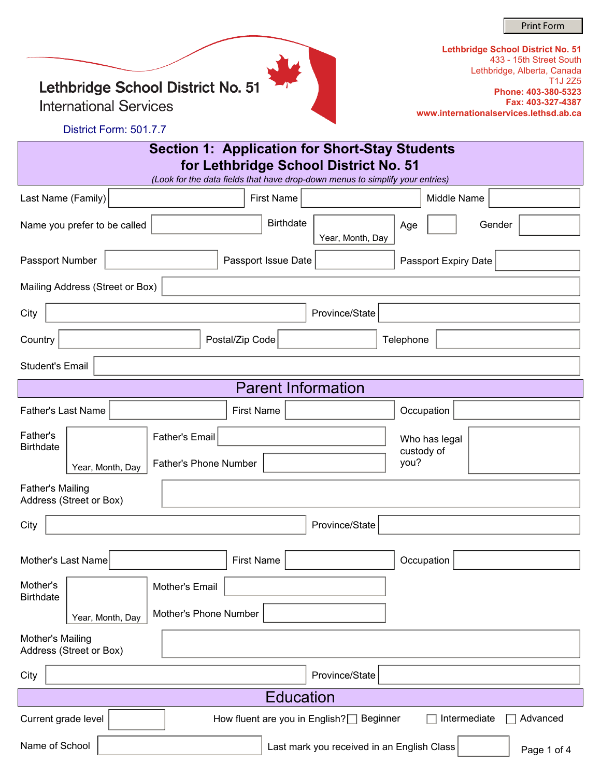Print Form

Lethbridge School District No. 51

**International Services** 

| Lethbridge School District No. 51      |
|----------------------------------------|
| 433 - 15th Street South                |
| Lethbridge, Alberta, Canada            |
| T <sub>1</sub> J 275                   |
| Phone: 403-380-5323                    |
| Fax: 403-327-4387                      |
| www.internationalservices.lethsd.ab.ca |

District Form: 501.7.7

| Section 1: Application for Short-Stay Students<br>for Lethbridge School District No. 51<br>(Look for the data fields that have drop-down menus to simplify your entries) |                                      |                                              |  |  |  |  |
|--------------------------------------------------------------------------------------------------------------------------------------------------------------------------|--------------------------------------|----------------------------------------------|--|--|--|--|
| Last Name (Family)                                                                                                                                                       | <b>First Name</b>                    | Middle Name                                  |  |  |  |  |
| Name you prefer to be called                                                                                                                                             | <b>Birthdate</b><br>Year, Month, Day | $\left  \mathbf{v} \right $<br>Gender<br>Age |  |  |  |  |
| Passport Number                                                                                                                                                          | Passport Issue Date                  | Passport Expiry Date                         |  |  |  |  |
| Mailing Address (Street or Box)                                                                                                                                          |                                      |                                              |  |  |  |  |
| City                                                                                                                                                                     | Province/State                       |                                              |  |  |  |  |
| Country                                                                                                                                                                  | Postal/Zip Code                      | Telephone                                    |  |  |  |  |
| <b>Student's Email</b>                                                                                                                                                   |                                      |                                              |  |  |  |  |
|                                                                                                                                                                          | <b>Parent Information</b>            |                                              |  |  |  |  |
| <b>Father's Last Name</b>                                                                                                                                                | <b>First Name</b>                    | Occupation                                   |  |  |  |  |
| Father's<br><b>Father's Email</b><br><b>Birthdate</b>                                                                                                                    |                                      | Who has legal<br>custody of                  |  |  |  |  |
| Year, Month, Day                                                                                                                                                         | <b>Father's Phone Number</b>         | you?                                         |  |  |  |  |
| <b>Father's Mailing</b><br>Address (Street or Box)                                                                                                                       |                                      |                                              |  |  |  |  |
| City                                                                                                                                                                     | Province/State                       |                                              |  |  |  |  |
|                                                                                                                                                                          |                                      |                                              |  |  |  |  |
| Mother's Last Name                                                                                                                                                       | <b>First Name</b>                    | Occupation                                   |  |  |  |  |
| Mother's<br>Mother's Email<br><b>Birthdate</b>                                                                                                                           |                                      |                                              |  |  |  |  |
| Year, Month, Day                                                                                                                                                         | Mother's Phone Number                |                                              |  |  |  |  |
| Mother's Mailing<br>Address (Street or Box)                                                                                                                              |                                      |                                              |  |  |  |  |
| City                                                                                                                                                                     | Province/State                       |                                              |  |  |  |  |
|                                                                                                                                                                          | <b>Education</b>                     |                                              |  |  |  |  |
| $\left  \cdot \right $<br>Intermediate<br>Advanced<br>Current grade level<br>How fluent are you in English?<br>Beginner                                                  |                                      |                                              |  |  |  |  |
| Name of School<br>Last mark you received in an English Class<br>Page 1 of 4                                                                                              |                                      |                                              |  |  |  |  |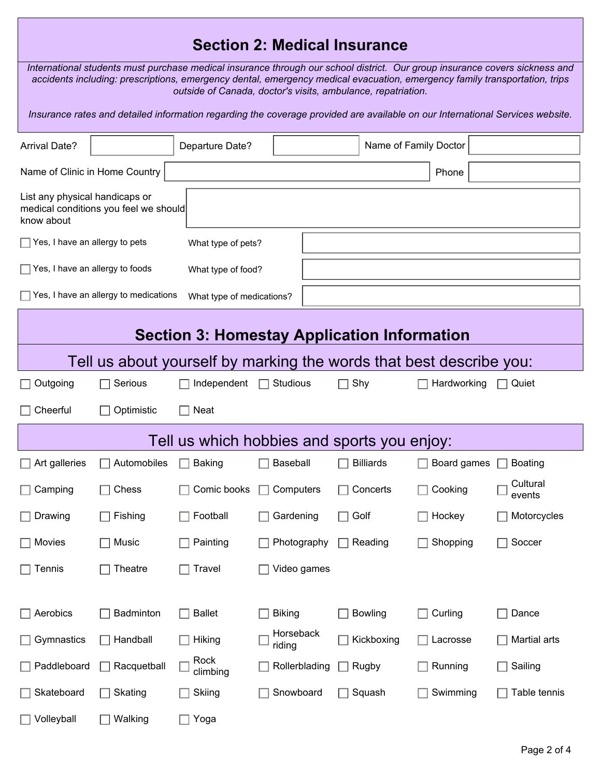## **Section 2: Medical Insurance**

*International students must purchase medical insurance through our school district. Our group insurance covers sickness and accidents including: prescriptions, emergency dental, emergency medical evacuation, emergency family transportation, trips outside of Canada, doctor's visits, ambulance, repatriation.* 

*Insurance rates and detailed information regarding the coverage provided are available on our International Services website.*

| <b>Arrival Date?</b>                                                                  |                                       | Departure Date?           |                     |                                             | Name of Family Doctor |                    |  |
|---------------------------------------------------------------------------------------|---------------------------------------|---------------------------|---------------------|---------------------------------------------|-----------------------|--------------------|--|
| Name of Clinic in Home Country<br>Phone                                               |                                       |                           |                     |                                             |                       |                    |  |
| List any physical handicaps or<br>medical conditions you feel we should<br>know about |                                       |                           |                     |                                             |                       |                    |  |
| $\Box$ Yes, I have an allergy to pets                                                 |                                       |                           | What type of pets?  |                                             |                       |                    |  |
| $\Box$ Yes, I have an allergy to foods                                                |                                       | What type of food?        |                     |                                             |                       |                    |  |
|                                                                                       | Yes, I have an allergy to medications | What type of medications? |                     |                                             |                       |                    |  |
| <b>Section 3: Homestay Application Information</b>                                    |                                       |                           |                     |                                             |                       |                    |  |
| Tell us about yourself by marking the words that best describe you:                   |                                       |                           |                     |                                             |                       |                    |  |
| Outgoing                                                                              | Serious                               | Independent               | Studious            | Shy<br>$\blacksquare$                       | Hardworking           | Quiet<br>$\Box$    |  |
| Cheerful                                                                              | Optimistic                            | <b>Neat</b>               |                     |                                             |                       |                    |  |
|                                                                                       |                                       |                           |                     | Tell us which hobbies and sports you enjoy: |                       |                    |  |
| Art galleries                                                                         | Automobiles                           | <b>Baking</b>             | Baseball            | <b>Billiards</b>                            | Board games           | <b>Boating</b>     |  |
| Camping                                                                               | Chess                                 | Comic books               | Computers           | Concerts                                    | Cooking               | Cultural<br>events |  |
| Drawing                                                                               | Fishing                               | Football                  | Gardening           | Golf<br>$\blacksquare$                      | Hockey                | Motorcycles        |  |
| Movies                                                                                | Music                                 | Painting                  | Photography         | Reading<br>$\blacksquare$                   | Shopping              | Soccer             |  |
| $\Box$ Tennis                                                                         | $\Box$ Theatre                        | $\Box$ Travel             | $\Box$ Video games  |                                             |                       |                    |  |
|                                                                                       |                                       |                           |                     |                                             |                       |                    |  |
| Aerobics                                                                              | Badminton                             | <b>Ballet</b>             | <b>Biking</b>       | <b>Bowling</b>                              | Curling               | Dance              |  |
| Gymnastics                                                                            | Handball                              | Hiking                    | Horseback<br>riding | Kickboxing                                  | Lacrosse              | Martial arts       |  |
| Paddleboard                                                                           | Racquetball                           | Rock<br>climbing          | Rollerblading       | Rugby<br>$\Box$                             | Running               | Sailing            |  |
| Skateboard                                                                            | Skating                               | Skiing                    | Snowboard           | Squash                                      | Swimming              | Table tennis       |  |
| Volleyball                                                                            | Walking                               | Yoga                      |                     |                                             |                       |                    |  |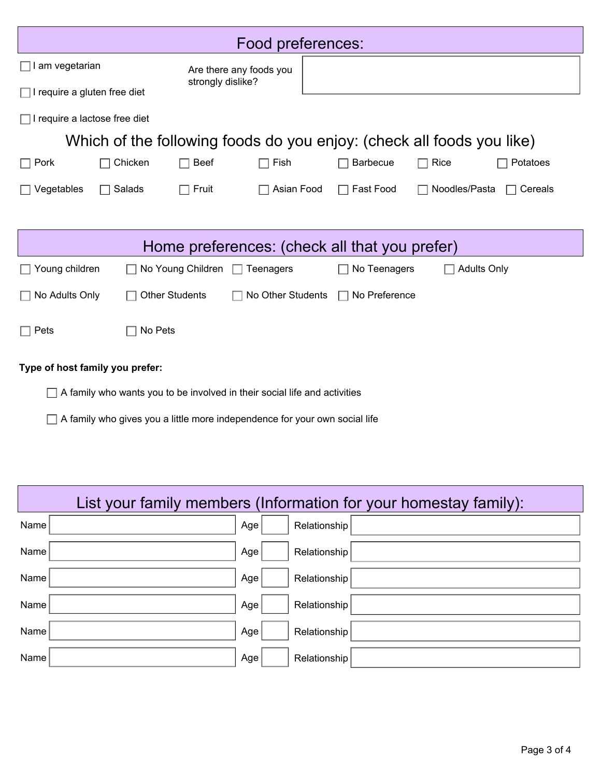| Food preferences:                                                                      |                       |                                              |                   |  |                  |                                                                       |                         |
|----------------------------------------------------------------------------------------|-----------------------|----------------------------------------------|-------------------|--|------------------|-----------------------------------------------------------------------|-------------------------|
| am vegetarian                                                                          |                       | Are there any foods you<br>strongly dislike? |                   |  |                  |                                                                       |                         |
| $\Box$ I require a gluten free diet                                                    |                       |                                              |                   |  |                  |                                                                       |                         |
| $\Box$ I require a lactose free diet                                                   |                       |                                              |                   |  |                  |                                                                       |                         |
|                                                                                        |                       |                                              |                   |  |                  | Which of the following foods do you enjoy: (check all foods you like) |                         |
| $\Box$ Pork                                                                            | Chicken               | Beef                                         | Fish              |  | <b>Barbecue</b>  | Rice<br>$\Box$                                                        | Potatoes                |
| Vegetables                                                                             | Salads<br>L           | Fruit                                        | Asian Food        |  | <b>Fast Food</b> | Noodles/Pasta                                                         | Cereals<br>$\mathbf{1}$ |
|                                                                                        |                       |                                              |                   |  |                  |                                                                       |                         |
| Home preferences: (check all that you prefer)                                          |                       |                                              |                   |  |                  |                                                                       |                         |
| Young children<br>No Young Children<br>No Teenagers<br><b>Adults Only</b><br>Teenagers |                       |                                              |                   |  |                  |                                                                       |                         |
| No Adults Only<br>$\mathsf{L}$                                                         | <b>Other Students</b> |                                              | No Other Students |  | No Preference    |                                                                       |                         |
| $\Box$ Pets                                                                            | No Pets               |                                              |                   |  |                  |                                                                       |                         |
| Type of host family you prefer:                                                        |                       |                                              |                   |  |                  |                                                                       |                         |
| A family who wants you to be involved in their social life and activities              |                       |                                              |                   |  |                  |                                                                       |                         |

A family who gives you a little more independence for your own social life

Г

| List your family members (Information for your homestay family): |     |              |  |  |  |  |
|------------------------------------------------------------------|-----|--------------|--|--|--|--|
| Name                                                             | Age | Relationship |  |  |  |  |
| Name                                                             | Age | Relationship |  |  |  |  |
| Name                                                             | Age | Relationship |  |  |  |  |
| Name                                                             | Age | Relationship |  |  |  |  |
| Name                                                             | Age | Relationship |  |  |  |  |
| Name                                                             | Age | Relationship |  |  |  |  |